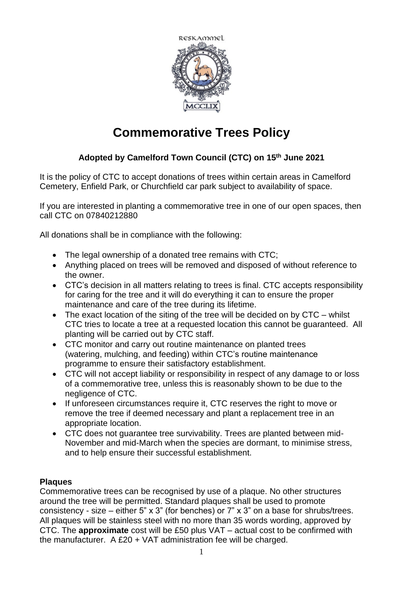

# **Commemorative Trees Policy**

### **Adopted by Camelford Town Council (CTC) on 15th June 2021**

It is the policy of CTC to accept donations of trees within certain areas in Camelford Cemetery, Enfield Park, or Churchfield car park subject to availability of space.

If you are interested in planting a commemorative tree in one of our open spaces, then call CTC on 07840212880

All donations shall be in compliance with the following:

- The legal ownership of a donated tree remains with CTC;
- Anything placed on trees will be removed and disposed of without reference to the owner.
- CTC's decision in all matters relating to trees is final. CTC accepts responsibility for caring for the tree and it will do everything it can to ensure the proper maintenance and care of the tree during its lifetime.
- The exact location of the siting of the tree will be decided on by CTC whilst CTC tries to locate a tree at a requested location this cannot be guaranteed. All planting will be carried out by CTC staff.
- CTC monitor and carry out routine maintenance on planted trees (watering, mulching, and feeding) within CTC's routine maintenance programme to ensure their satisfactory establishment.
- CTC will not accept liability or responsibility in respect of any damage to or loss of a commemorative tree, unless this is reasonably shown to be due to the negligence of CTC.
- If unforeseen circumstances require it, CTC reserves the right to move or remove the tree if deemed necessary and plant a replacement tree in an appropriate location.
- CTC does not guarantee tree survivability. Trees are planted between mid-November and mid-March when the species are dormant, to minimise stress, and to help ensure their successful establishment.

### **Plaques**

Commemorative trees can be recognised by use of a plaque. No other structures around the tree will be permitted. Standard plaques shall be used to promote consistency - size – either 5" x 3" (for benches) or 7" x 3" on a base for shrubs/trees. All plaques will be stainless steel with no more than 35 words wording, approved by CTC. The **approximate** cost will be £50 plus VAT – actual cost to be confirmed with the manufacturer. A £20 + VAT administration fee will be charged.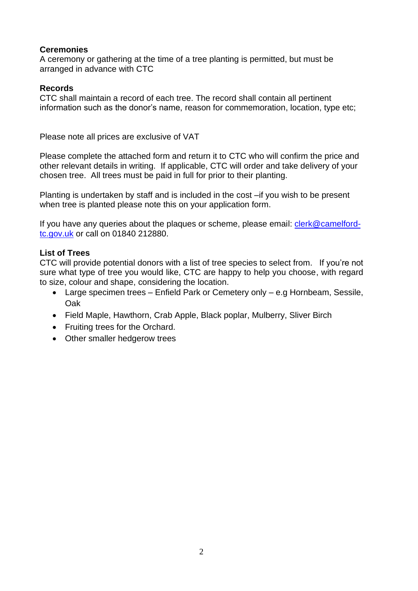### **Ceremonies**

A ceremony or gathering at the time of a tree planting is permitted, but must be arranged in advance with CTC

### **Records**

CTC shall maintain a record of each tree. The record shall contain all pertinent information such as the donor's name, reason for commemoration, location, type etc;

Please note all prices are exclusive of VAT

Please complete the attached form and return it to CTC who will confirm the price and other relevant details in writing. If applicable, CTC will order and take delivery of your chosen tree. All trees must be paid in full for prior to their planting.

Planting is undertaken by staff and is included in the cost –if you wish to be present when tree is planted please note this on your application form.

If you have any queries about the plaques or scheme, please email: [clerk@camelford](mailto:clerk@camelford-tc.gov.uk)[tc.gov.uk](mailto:clerk@camelford-tc.gov.uk) or call on 01840 212880.

### **List of Trees**

CTC will provide potential donors with a list of tree species to select from. If you're not sure what type of tree you would like, CTC are happy to help you choose, with regard to size, colour and shape, considering the location.

- Large specimen trees Enfield Park or Cemetery only e.g Hornbeam, Sessile, Oak
- Field Maple, Hawthorn, Crab Apple, Black poplar, Mulberry, Sliver Birch
- Fruiting trees for the Orchard.
- Other smaller hedgerow trees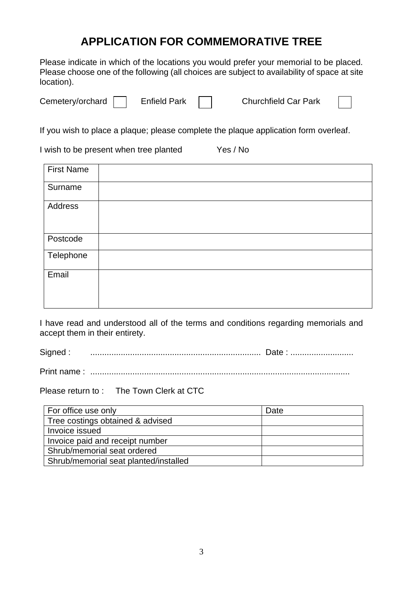### **APPLICATION FOR COMMEMORATIVE TREE**

Please indicate in which of the locations you would prefer your memorial to be placed. Please choose one of the following (all choices are subject to availability of space at site location).

Cemetery/orchard **Enfield Park** Churchfield Car Park

If you wish to place a plaque; please complete the plaque application form overleaf.

I wish to be present when tree planted Yes / No

| <b>First Name</b> |  |
|-------------------|--|
| Surname           |  |
| Address           |  |
| Postcode          |  |
| Telephone         |  |
| Email             |  |

I have read and understood all of the terms and conditions regarding memorials and accept them in their entirety.

Signed : ......................................................................... Date : ...........................

Print name : ...............................................................................................................

Please return to : The Town Clerk at CTC

| For office use only                   | Date |
|---------------------------------------|------|
| Tree costings obtained & advised      |      |
| Invoice issued                        |      |
| Invoice paid and receipt number       |      |
| Shrub/memorial seat ordered           |      |
| Shrub/memorial seat planted/installed |      |